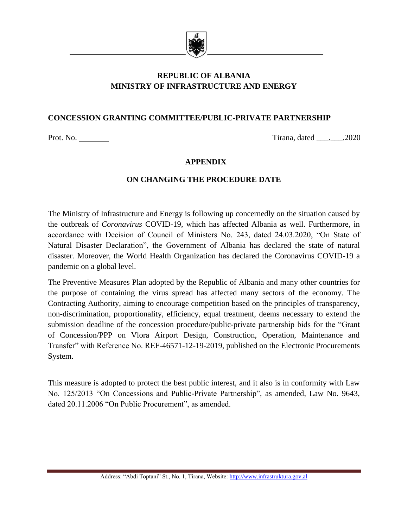

# **REPUBLIC OF ALBANIA MINISTRY OF INFRASTRUCTURE AND ENERGY**

## **CONCESSION GRANTING COMMITTEE/PUBLIC-PRIVATE PARTNERSHIP**

Prot. No. 2020 Tirana, dated \_\_\_. \_\_\_.2020

#### **APPENDIX**

#### **ON CHANGING THE PROCEDURE DATE**

The Ministry of Infrastructure and Energy is following up concernedly on the situation caused by the outbreak of *Coronavirus* COVID-19, which has affected Albania as well. Furthermore, in accordance with Decision of Council of Ministers No. 243, dated 24.03.2020, "On State of Natural Disaster Declaration", the Government of Albania has declared the state of natural disaster. Moreover, the World Health Organization has declared the Coronavirus COVID-19 a pandemic on a global level.

The Preventive Measures Plan adopted by the Republic of Albania and many other countries for the purpose of containing the virus spread has affected many sectors of the economy. The Contracting Authority, aiming to encourage competition based on the principles of transparency, non-discrimination, proportionality, efficiency, equal treatment, deems necessary to extend the submission deadline of the concession procedure/public-private partnership bids for the "Grant of Concession/PPP on Vlora Airport Design, Construction, Operation, Maintenance and Transfer" with Reference No. REF-46571-12-19-2019, published on the Electronic Procurements System.

This measure is adopted to protect the best public interest, and it also is in conformity with Law No. 125/2013 "On Concessions and Public-Private Partnership", as amended, Law No. 9643, dated 20.11.2006 "On Public Procurement", as amended.